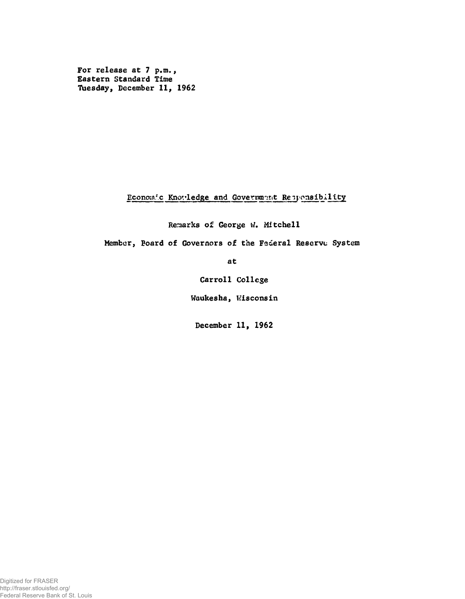For release at 7 p.m., Eastern Standard Time Tuesday, December 11, 1962

Economic Knowledge and Government Reprensibility

Remarks of George W. Mitchell

Member, Board of Governors of the Federal Reserve System

at

Carroll College

Waukesha, Wisconsin

December 11, 1962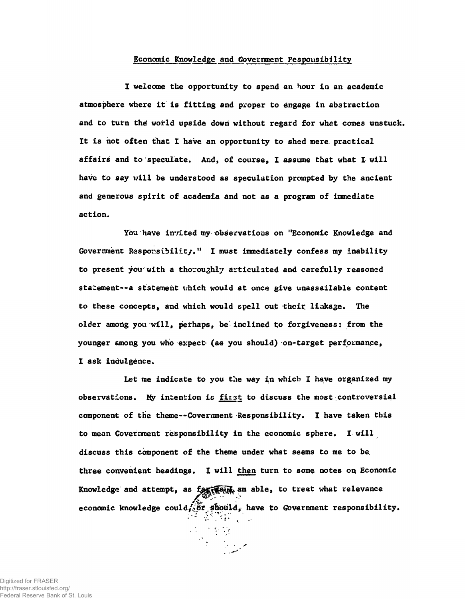## Economic Knowledge and Government Pespousibility

I welcome the opportunity to spend an hour in an academic atmosphere where it is fitting and proper to éngage in abstraction and to turn thé world upside down without regard for what comes unstuck. It is not often that I have an opportunity to shed mere practical affairs and to speculate. And, of course, I assume that what I will have to say will be understood as speculation prompted by the ancient and generous spirit of' academia and not as a program of immediate action.

You have invited my observations on "Economic Knowledge and Government Responsibility." I must immediately confess my inability to present you'with a thoroughly articulated and carefully reasoned statement--a statement which would at once give unassailable content to these concepts, and which would spell out their linkage. The older among you will, perhaps, be inclined to forgiveness: from the younger among you who expect- (as you should) on-target performance, I ask indulgence.

Let me indicate to you the way in which I have organized my observations. My intention is fitst to discuss the most .controversial component of the theme— Government Responsibility. I have taken this to mean Government responsibility in the economic sphere. I will discuss this component of the theme under what seems to me to be. three convenient headings. I will then turn to some notes on Economic Knowledge and attempt, as fortherwise am able, to treat what relevance economic knowledge could,  $\delta t$ , should, have to Government responsibility.

Digitized for FRASER http://fraser.stlouisfed.org/ Federal Reserve Bank of St. Louis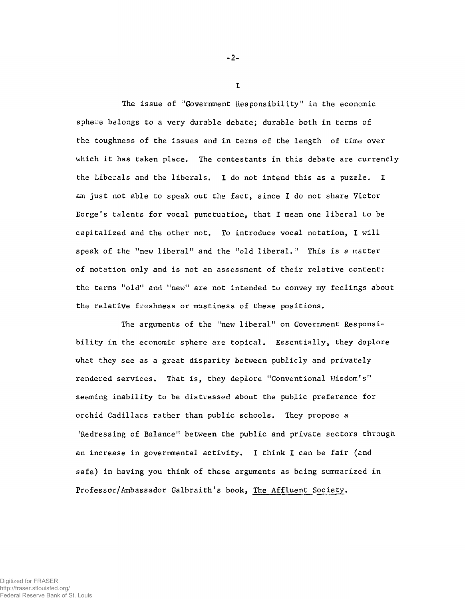The issue of "Government Responsibility" in the economic sphere belongs to a very durable debate; durable both in terms of the toughness of the issues and in terms of the length of time over which it has taken place. The contestants in this debate are currently the Liberals and the liberals. I do not intend this as a puzzle. I am just not able to speak out the fact, since I do not share Victor Borge's talents for vocal punctuation, that I mean one liberal to be capitalized and the other not. To introduce vocal notation, I will speak of the "new liberal" and the "old liberal." This is a matter of notation only and is not an assessment of their relative content: the terms "old" and "new" are not intended to convey my feelings about the relative freshness or mustiness of these positions.

The arguments of the "new liberal" on Government Responsibility in the economic sphere axe topical. Essentially, they deplore what they see as a great disparity between publicly and privately rendered services. That is, they deplore "Conventional Wisdom's" seeming inability to be distressed about the public preference for orchid Cadillacs rather than public schools. They propose a 'Redressing of Balance" between the public and private sectors through an increase in governmental activity. I think I can be fair (and safe) in having you think of these arguments as being summarized in Professor/Ambassador Galbraith's book, The Affluent Society.

-2-

I

Digitized for FRASER http://fraser.stlouisfed.org/ Federal Reserve Bank of St. Louis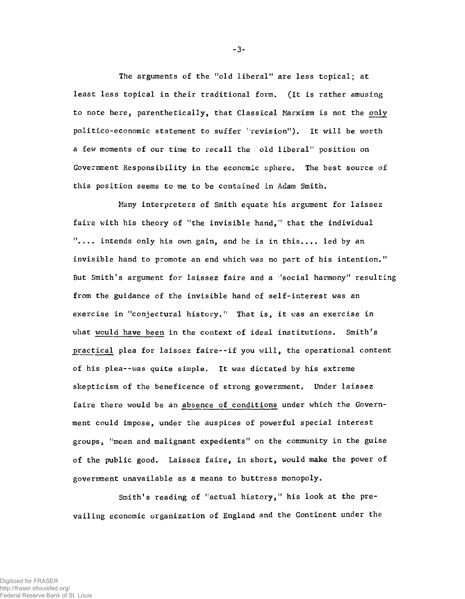The arguments of the "old liberal" are less topical; at least less topical in their traditional form. (It is rather amusing to note here, parenthetically, that Classical Marxism is not the only politico-economic statement to suffer "revision"). It will be worth a few moments of our time to recall the old liberal" position on Government Responsibility in the economic sphere. The best source of this position seems to me to be contained in Adam Smith.

Many interpreters of Smith equate his argument for laissez faire with his theory of "the invisible hand," that the individual ".... intends only his own gain, and he is in this.... led by an invisible hand to promote an end which was no part of his intention." But Smith's argument for laissez faire and a 'social harmony" resulting from the guidance of the invisible hand of self-interest was an exercise in "conjectural history." That is, it was an exercise in what would have been in the context of ideal institutions. Smith's practical plea for laissez faire--if you will, the operational content of his plea--was quite simple. It was dictated by his extreme skepticism of the beneficence of strong government. Under laissez faire there would be an absence of conditions under which the Government could impose, under the auspices of powerful special interest groups, "mean and malignant expedients" on the community in the guise of the public good. Laissez faire, in short, would make the power of government unavailable as a means to buttress monopoly.

Smith's reading of "actual history," his look at the prevailing economic organization of England and the Continent under the

-3-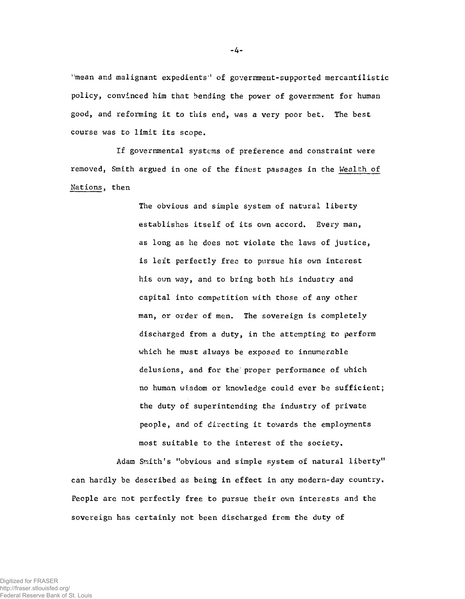i:mean and malignant expedients'\* of government-supported mercantilistic policy, convinced him that bending the power of government for human good, and reforming it to this end, was a very poor bet. The best course was to limit its scope.

If governmental systems of preference and constraint were removed, Smith argued in one of the finest passages in the Wealth of Nations, then

> The obvious and simple system of natural liberty establishes itself of its own accord. Every man, as long as he does not violate the laws of justice, is left perfectly free to pursue his own interest his own way, and to bring both his industry and capital into competition with those of any other man, or order of men. The sovereign is completely discharged from a duty, in the attempting to perform which he must always be exposed to innumerable delusions, and for the' proper performance of which no human wisdom or knowledge could ever be sufficient; the duty of superintending the industry of private people, and of directing it towards the employments most suitable to the interest of the society.

Adam Smith's "obvious and simple system of natural liberty" can hardly be described as being in effect in any modern-day country. People are not perfectly free to pursue their own interests and the sovereign has certainly not been discharged from the duty of

-4-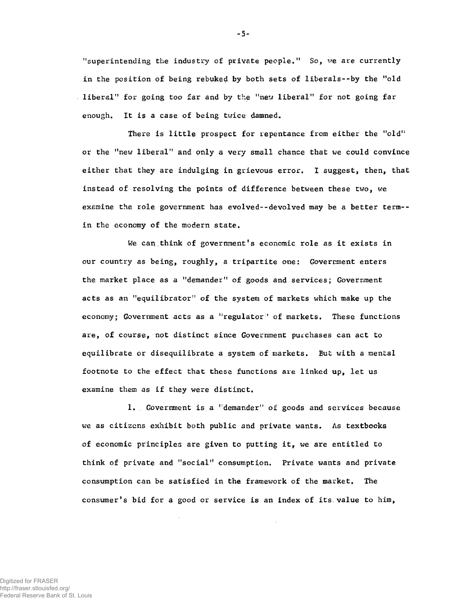"superintending the industry of private people." So, we are currently in the position of being rebuked by both sets of liberals--by the "old liberal" for going too far and by the "new liberal" for not going far enough. It is a case of being twice damned.

There is little prospect for repentance from either the "old" or the "new liberal" and only a very small chance that we could convince either that they are indulging in grievous error, I suggest, then, that instead of resolving the points of difference between these two, we examine the role government has evolved--devolved may be a better term- in the economy of the modern state.

We can think of government's economic role as it exists in our country as being, roughly, a tripartite one: Government enters the market place as a "demander" of goods and services; Government acts as an "equilibrator" of the system of markets which make up the economy; Government acts as a "regulator" of markets. These functions are, of course, not distinct since Government purchases can act to equilibrate or disequilibrate a system of markets. But with a mental footnote to the effect that these functions are linked up, let us examine them as if they were distinct.

1. Government is a "demander" of goods and services because we as citizens exhibit both public and private wants. As textbooks of economic principles are given to putting it, we are entitled to think of private and "social" consumption. Private wants and private consumption can be satisfied in the framework of the market. The consumer's bid for a good or service is an index of its value to him,

-5-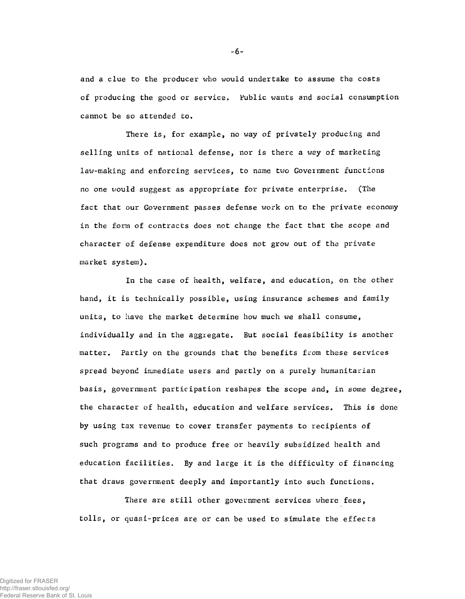and a clue to the producer who would undertake to assume the costs of producing the good or service. 'Public wants and social consumption cannot be so attended to.

There is, for example, no way of privately producing and selling units of national defense, nor is there a way of marketing law-making and enforcing services, to name two Government functions no one would suggest as appropriate for private enterprise. (The fact that our Government passes defense work on to the private economy in the form of contracts does not change the fact that the scope and character of defense expenditure does not grow out of the private market system).

In the case of health, welfare, and education, on the other hand, it is technically possible, using insurance schemes and family units, to have the market determine how much we shall consume, individually and in the aggregate. But social feasibility is another matter. Partly on the grounds that the benefits from these services spread beyond immediate users and partly on a purely humanitarian basis, government participation reshapes the scope and, in some degree, the character of health, education and welfare services. This is done by using tax revenue to cover transfer payments to recipients of such programs and to produce free or heavily subsidized health and education facilities. By and large it is the difficulty of financing that draws government deeply and importantly into such functions.

There are still other government services where fees, tolls, or quasi-prices are or can be used to simulate the effects

 $-6-$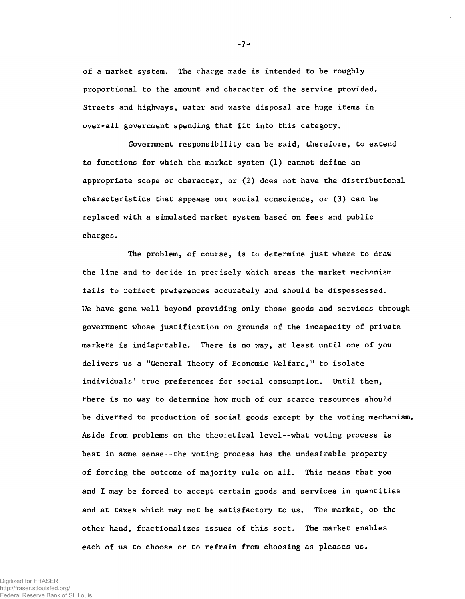of a market system. The charge made is intended to be roughly proportional to the amount and character of the service provided. Streets and highways, water and waste disposal are huge items in over-all government spending that fit into this category.

Government responsibility can be said, therefore, to extend to functions for which the market system (1) cannot define an appropriate scope or character, or  $(2)$  does not have the distributional characteristics that appease our social conscience, or (3) can be replaced with a simulated market system based on fees and public charges.

The problem, of course, is to determine just where to draw the line and to decide in precisely which areas the market mechanism fails to reflect preferences accurately and should be dispossessed. We have gone well beyond providing only those goods and services through government whose justification on grounds of the incapacity of private markets is indisputable. There is no way, at least until one of you delivers us a "General Theory of Economic Welfare," to isolate individuals' true preferences for social consumption. Until then, there is no way to determine how much of our scarce resources should be diverted to production of social goods except by the voting mechanism. Aside from problems on the theoretical level--what voting process is best in some sense--the voting process has the undesirable property of forcing the outcome of majority rule on all. This means that you and I may be forced to accept certain goods and services in quantities and at taxes which may not be satisfactory to us. The market, on the other hand, fractionalizes issues of this sort. The market enables each of us to choose or to refrain from choosing as pleases us.

 $-7-$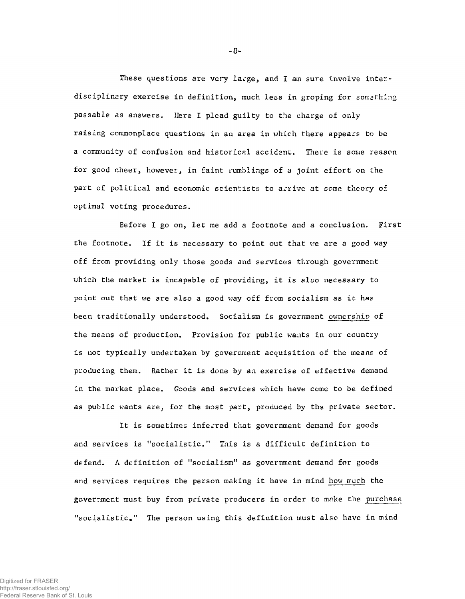These questions are very large, and I am sure involve interdisciplinary exercise in definition, much less in groping for something passable as answers. Here I plead guilty to the charge of only raising commonplace questions in an area in which there appears to be a community of confusion and historical accident. There is some reason for good cheer, however, in faint rumblings of a joint effort on the part of political and economic scientists to arrive at some theory of optimal voting procedures.

Before I go on, let me add a footnote and a conclusion. First the footnote. If it is necessary to point out that we are a good way off from providing only those goods and services through government which the market is incapable of providing, it is also necessary to point out that we are also a good way off from socialism as *it* has been traditionally understood. Socialism is government ownership of the means of production. Provision for public wants in our country is not typically undertaken by government acquisition of the means of producing them. Rather it is done by an exercise of effective demand in the market place. Goods and services which have come to be defined as public wants are, for the most part, produced by the private sector.

It is sometimes inferred that government demand for goods and services is "socialistic." This is a difficult definition to defend. A definition of "socialism" as government demand for goods and services requires the person making it have in mind how much the government must buy from private producers in order to mnke the purchase "socialistic." The person using this definition must also have in mind

 $-8-$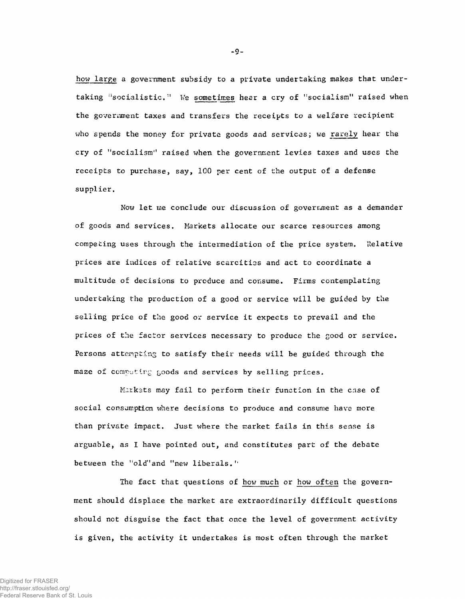how large a government subsidy to a private undertaking makes that undertaking "socialistic." We sometimes hear a cry of "socialism" raised when the government taxes and transfers the receipts to a welfare recipient who spends the money for private goods and services; we rarely hear the cry of "socialism'\* raised when the government levies taxes and uses the receipts to purchase, say, 100 per cent of the output of a defense supplier.

Now let me conclude our discussion of government as a demander of goods and services. Markets allocate our scarce resources among competing uses through the intermediation of the price system. Relative prices are indices of relative scarcities and act to coordinate a multitude of decisions to produce and consume. Firms contemplating undertaking the production of a good or service will be guided by the selling price of the good or service it expects to prevail and the prices of the factor services necessary to produce the good or service. Persons attempting to satisfy their needs will be guided through the maze of competing goods and services by selling prices.

M.irksts may fail to perform their function in the case of social consumption where decisions to produce and consume have more than private impact. Just where the market fails in this sense is arguable, as I have pointed out, and constitutes part of the debate between the "old" and "new liberals."

The fact that questions of how much or how often the government should displace the market are extraordinarily difficult questions should not disguise the fact that once the level of government activity is given, the activity it undertakes is most often through the market

 $-9-$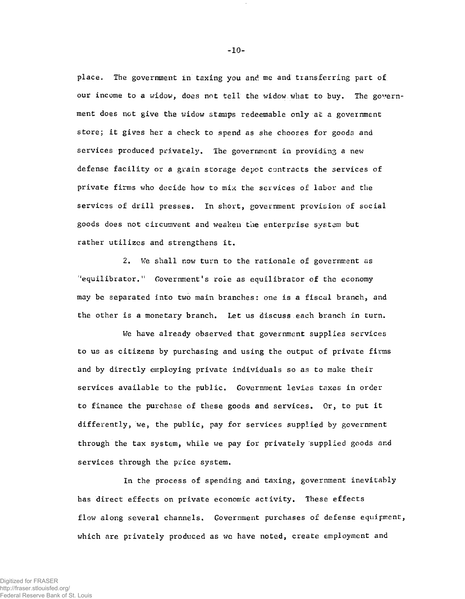place. The government in taxing you and me and transferring part of our income to a widow, does not tell the widow what to buy. The government does not give the widow stamps redeemable only at a government store; it gives her a check to spend as she chooses for goods and services produced privately. The government in providing a new defense facility or a grain storage depot contracts the services of private firms who decide how to mix the services of labor and the services of drill presses. In short, government provision of social goods does not circumvent and weaken the enterprise system but rather utilizes and strengthens it.

2. We shall now turn to the rationale of government as "equilibrator." Government's role as equilibrator of the economy may be separated into two main branches: one is a fiscal branch, and the other is a monetary branch. Let us discuss each branch in turn.

We have already observed that government supplies services to us as citizens by purchasing and using the output of private firms and by directly employing private individuals so as to make their services available to the public. Government levies taxes in order to finance the purchase of these goods and services. Or, to put it differently, we, the public, pay for services supplied by government through the tax system, while we pay for privately supplied goods and services through the price system.

In the process of spending and taxing, government inevitably has direct effects on private economic activity. These effects flow along several channels. Government purchases of defense equipment, which are privately produced as we have noted, create employment and

-10-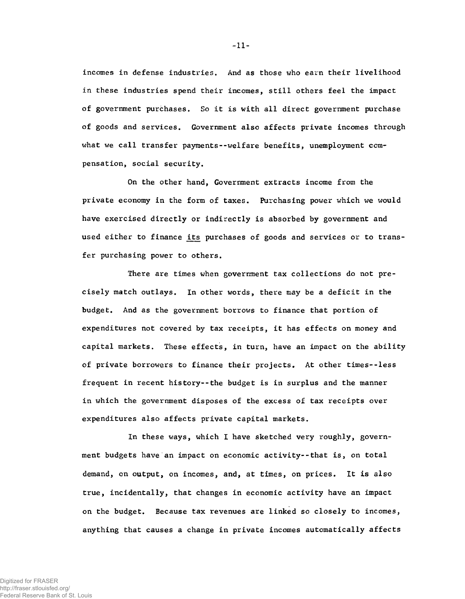incomes in defense industries. And as those who earn their livelihood in these industries spend their incomes, still others feel the impact of government purchases. So it is with all direct government purchase of goods and services. Government also affects private incomes through what we call transfer payments--welfare benefits, unemployment compensation, social security.

On the other hand, Government extracts income from the private economy in the form of taxes. Purchasing power which we would have exercised directly or indirectly is absorbed by government and used either to finance its purchases of goods and services or to transfer purchasing power to others.

There are times when government tax collections do not precisely match outlays. In other words, there may be a deficit in the budget. And as the government borrows to finance that portion of expenditures not covered by tax receipts, it has effects on money and capital markets. These effects, in turn, have an impact on the ability of private borrowers to finance their projects. At other times--less frequent in recent history--the budget is in surplus and the manner in which the government disposes of the excess of tax receipts over expenditures also affects private capital markets.

In these ways, which I have sketched very roughly, government budgets have an impact on economic activity--that is, on total demand, on output, on incomes, and, at times, on prices. It is also true, incidentally, that changes in economic activity have an impact on the budget. Because tax revenues are linked so closely to incomes, anything that causes a change in private incomes automatically affects

-11-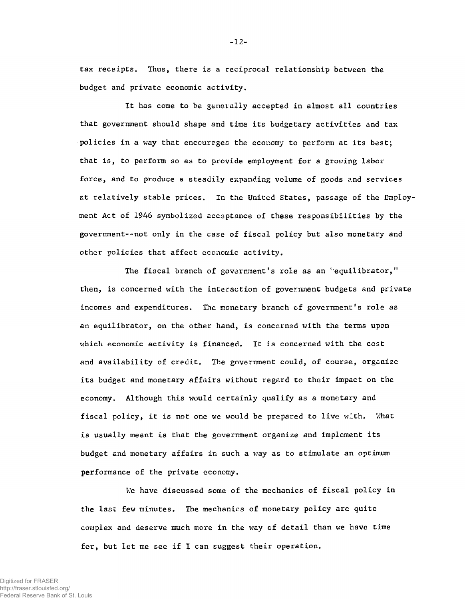tax receipts. Thus, there is a reciprocal relationship between the budget and private economic activity.

It has come to be generally accepted in almost all countries that government should shape and time its budgetary activities and tax policies in a way that encourages the economy to perform at its best; that is, to perform so as to provide employment for a growing labor force, and to produce a steadily expanding volume of goods and services at relatively stable prices. In the United States, passage of the Employment Act of 1946 symbolized acceptance of these responsibilities by the government--not only in the case of fiscal policy but also monetary and other policies that affect economic activity.

The fiscal branch of government's role as an "equilibrator," then, is concerned with the interaction of government budgets and private incomes and expenditures. The monetary branch of government's role as an equilibrator, on the other hand, is concerned with the terms upon which economic activity is financed. It is concerned with the cost and availability of credit. The government could, of course, organize its budget and monetary affairs without regard to their impact on the economy. Although this would certainly qualify as a monetary and fiscal policy, it is not one we would be prepared to live with. What is usually meant is that the government organize and implement its budget and monetary affairs in such a way as to stimulate an optimum performance of the private economy.

We have discussed some of the mechanics of fiscal policy in the last few minutes. The mechanics of monetary policy are quite complex and deserve much more in the way of detail than we have time for, but let me see if I can suggest their operation.

-12-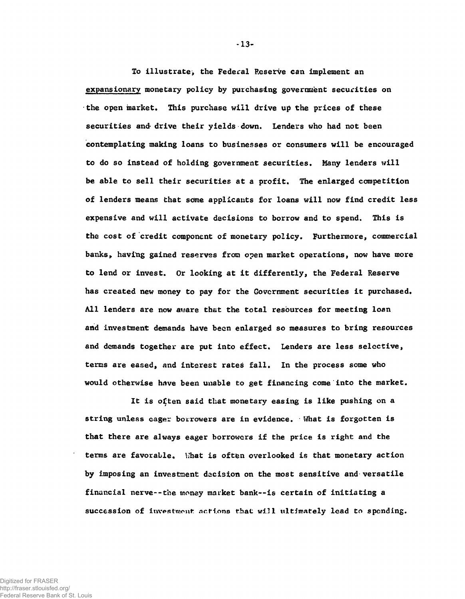To illustrate, the Federal Reserve can implement an expansionary monetary policy by purchasing government securities on the open market. This purchase will drive up the prices of these securities and-drive their yields down. Lenders who had not been contemplating making loans to businesses or consumers will be encouraged to do so instead of holding government securities. Many lenders will be able to sell their securities at a profit. The enlarged competition of lenders means that some applicants for loans will now find credit less expensive and will activate decisions to borrow and to spend. This is the cost of credit component of monetary policy. Furthermore, commercial banks, having gained reserves from open market operations, now have more to lend or invest. Or looking at it differently, the Federal Reserve has created new money to pay for the Government securities it purchased. All lenders are now aware that the total resources for meeting loan and investment demands have been enlarged so measures to bring resources and demands together are put into effect. Lenders are less selective, tenas are eased, and interest rates fall. In the process some who would otherwise have been unable to get financing come into the market.

It is often said that monetary easing is like pushing on a string unless eager borrowers are in evidence. • What is forgotten is that there are always eager borrowers if the price is right and the terms are favorable. What is often overlooked is that monetary action by imposing an investment decision on the most sensitive and versatile financial nerve--the money market bank--is certain of initiating a succession of investment actions that will ultimately lead to spending.

-13-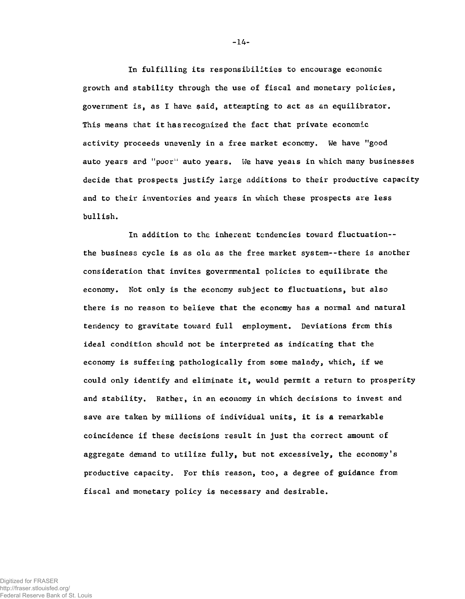In fulfilling its responsibilities to encourage economic growth and stability through the use of fiscal and monetary policies, government is, as I have said, attempting to act as an equilibrator. This means that it has recognized the fact that private economic activity proceeds unevenly in a free market economy. We have "good auto years and "poor" auto years. We have years in which many businesses decide that prospects justify large additions to their productive capacity and to their inventories and years in which these prospects are less bullish.

In addition to the inherent tendencies toward fluctuation- the business cycle is as ola as the free market system--there is another consideration that invites governmental policies to equilibrate the economy. Not only is the economy subject to fluctuations, but also there is no reason to believe that the economy has a normal and natural tendency to gravitate toward full employment. Deviations from this ideal condition should not be interpreted as indicating that the economy is suffering pathologically from some malady, which, if we could only identify and eliminate it, would permit a return to prosperity and stability. Rather, in an economy in which decisions to invest and save are taken by millions of individual units, it is a remarkable coincidence if these decisions result in just the correct amount of aggregate demand to utilize fully, but not excessively, the economy's productive capacity. For this reason, too, a degree of guidance from fiscal and monetary policy is necessary and desirable.

**-** 14**-**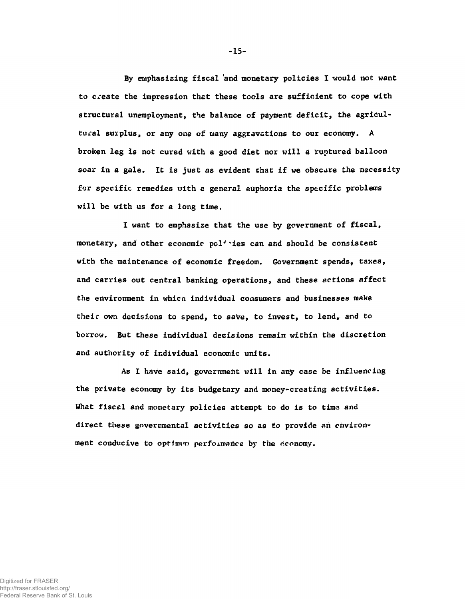By emphasizing fiscal and monetary policies I would not want to create the impression that these tools are sufficient to cope with structural unemployment, the balance of payment deficit, the agricultural surplus, or any one of many aggravations to our economy. A broken leg is not cured with a good diet nor will a ruptured balloon soar in a gale. It is just as evident that if we obscure the necessity for specific remedies with *e* general euphoria the specific problems will be with us for a long time.

I want to emphasize that the use by government of fiscal, monetary, and other economic pol<sup>1</sup> ies can and should be consistent with the maintenance of economic freedom. Government spends, taxes, and carries out central banking operations, and these actions affect the environment in whicn individual consumers and businesses make their own decisions to spend, to save, to Invest, to lend, and to borrox?. But these individual decisions remain within the discretion and authority of individual economic units.

As I have said, government will in any case be influencing the private economy by its budgetary and money-creating activities. Uhat fiscal and monetary policies attempt to do is to time and direct these governmental activities so as *to* provide an environment conducive to optimum performance by the economy.

-15-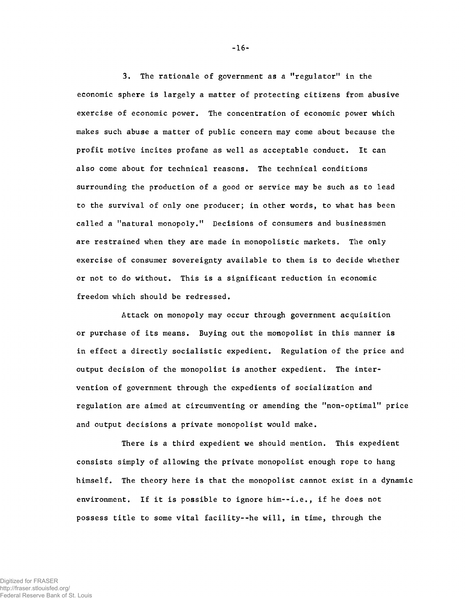3, The rationale of government as a "regulator" in the economic sphere is largely a matter of protecting citizens from abusive exercise of economic power. The concentration of economic power which makes such abuse a matter of public concern may come about because the profit motive incites profane as well as acceptable conduct. It can also come about for technical reasons. The technical conditions surrounding the production of a good or service may be such as to lead to the survival of only one producer; in other words, to what has been called a "natural monopoly." Decisions of consumers and businessmen are restrained when they are made in monopolistic markets. The only exercise of consumer sovereignty available to them is to decide whether or not to do without. This is a significant reduction in economic freedom which should be redressed.

Attack on monopoly may occur through government acquisition or purchase of its means. Buying out the monopolist in this manner is in effect a directly socialistic expedient. Regulation of the price and output decision of the monopolist is another expedient. The intervention of government through the expedients of socialization and regulation are aimed at circumventing or amending the "non-optimal" price and output decisions a private monopolist would make.

There is a third expedient we should mention. This expedient consists simply of allowing the private monopolist enough rope to hang himself. The theory here is that the monopolist cannot exist in a dynamic environment. If it is possible to ignore him--i.e., if he does not possess title to some vital facility--he will, in time, through the

 $-16-$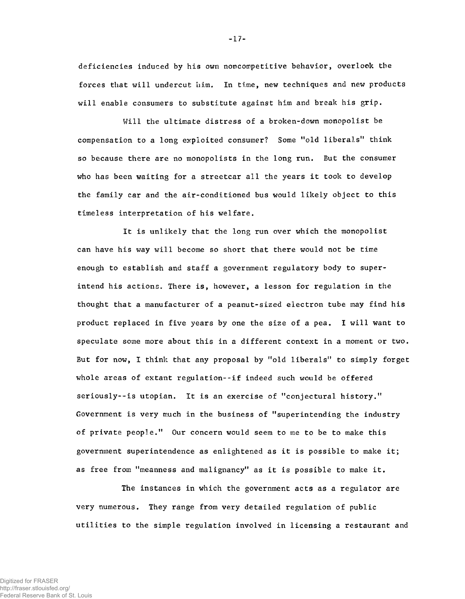deficiencies induced by his own noncompetitive behavior, overlook the forces that will undercut him. In time, new techniques and new products will enable consumers to substitute against him and break his grip.

Will the ultimate distress of a broken-down monopolist be compensation to a long exploited consumer? Some "old liberals" think so because there are no monopolists in the long run. But the consumer who has been waiting for a streetcar all the years it took to develop the family car and the air-conditioned bus would likely object to this timeless interpretation of his welfare.

It is unlikely that the long run over which the monopolist can have his way will become so short that there would not be time enough to establish and staff a government regulatory body to superintend his actions. There is, however, a lesson for regulation in the thought that a manufacturer of a peanut-sized electron tube may find his product replaced in five years by one the size of a pea. I will want to speculate some more about this in a different context in a moment or two. But for now, I think that any proposal by "old liberals" to simply forget whole areas of extant regulation--if indeed such would be offered seriously--is utopian. It is an exercise of "conjectural history." Government is very much in the business of "superintending the industry of private people." Our concern would seem to me to be to make this government superintendence as enlightened as it is possible to make it; as free from "meanness and malignancy" as it is possible to make it.

The instances in which the government acts as a regulator are very numerous. They range from very detailed regulation of public utilities to the simple regulation involved in licensing a restaurant and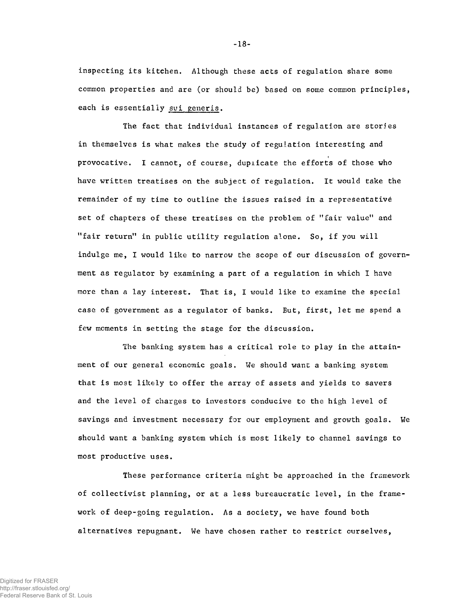inspecting its kitchen. Although these acts of regulation share some common properties and are (or should be) based on some common principles, each is essentially sui generis.

The fact that individual instances of regulation are stories in themselves is what makes the study of regulation interesting and provocative. I cannot, of course, duplicate the efforts of those who have written treatises on the subject of regulation. It would take the remainder of my time to outline the issues raised in a representative set of chapters of these treatises on the problem of "fair value" and "fair return" in public utility regulation alone. So, if you will indulge me, I would like to narrow the scope of our discussion of government as regulator by examining a part of a regulation in which I have more than a lay interest. That is, I would like to examine the special case of government as a regulator of banks. But, first, let me spend a few moments in setting the stage for the discussion.

The banking system has a critical role to play in the attainment of our general economic goals. We should want a banking system that is most likely to offer the array of assets and yields to savers and the level of charges to investors conducive to the high level of savings and investment necessary for our employment and growth goals. We should want a banking system which is most likely to channel savings to most productive uses.

These performance criteria might be approached in the framework of collectivist planning, or at a less bureaucratic level, in the framework of deep-going regulation. As a society, we have found both alternatives repugnant. We have chosen rather to restrict ourselves,

**-** 18 **-**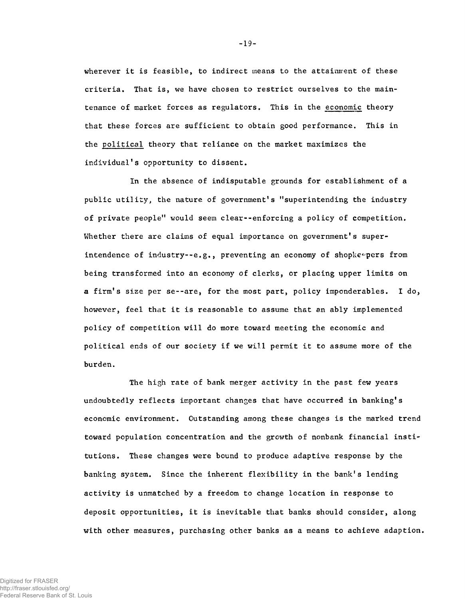wherever it is feasible, to indirect means to the attainment of these criteria. That is, we have chosen to restrict ourselves to the maintenance of market forces as regulators. This in the economic theory that these forces are sufficient to obtain good performance. This in the political theory that reliance on the market maximizes the individual's opportunity to dissent.

In the absence of indisputable grounds for establishment of a public utility, the nature of government's "superintending the industry of private people" would seem clear--enforcing a policy of competition. Whether there are claims of equal importance on government's superintendence of industry--e.g., preventing an economy of shopke-pers from being transformed into an economy of clerks, or placing upper limits on a firm's size per se--are, for the most part, policy imponderables. I do, however, feel that it is reasonable to assume that an ably implemented policy of competition will do more toward meeting the economic and political ends of our society if we will permit it to assume more of the burden.

The high rate of bank merger activity in the past few years undoubtedly reflects important changes that have occurred in banking's economic environment. Outstanding among these changes is the marked trend toward population concentration and the growth of nonbank financial institutions. These changes were bound to produce adaptive response by the banking system. Since the inherent flexibility in the bank's lending activity is unmatched by a freedom to change location in response to deposit opportunities, it is inevitable that banks should consider, along with other measures, purchasing other banks as a means to achieve adaption.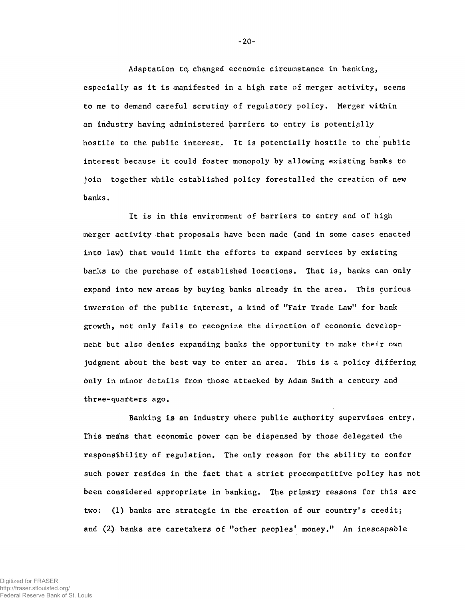Adaptation to, changed economic circumstance in banking, especially as it is manifested in a high rate of merger activity, seems to me to demand careful scrutiny of regulatory policy. Merger within an industry having administered barriers to entry is potentially hostile to the public interest. It is potentially hostile to the public interest because it could foster monopoly by allowing existing banks to join together while established policy forestalled the creation of new banks.

It is in this environment of barriers to entry and of high merger activity that proposals have been made (and in some cases enacted into law) that would limit the efforts to expand services by existing banks to the purchase of established locations. That is, banks can only expand into new areas by buying banks already in the area. This curious inversion of the public interest, a kind of "Fair Trade Law" for bank growth, not only fails to recognise the direction of economic development but also denies expanding banks the opportunity to make their own judgment about the best way to enter an area. This is a policy differing only in- minor details from those attacked by Adam Smith a century and three-quarters ago.

Banking is an industry where public authority supervises entry. This means that economic power can be dispensed by those delegated the responsibility of regulation. The only reason for the ability to confer such power resides in the fact that a strict procompetitive policy has not been considered appropriate in banking. The primary reasons for this are two: (1) banks are strategic in the creation of our country's credit; and (2) banks are caretakers of "other peoples' money." An inescapable

-20-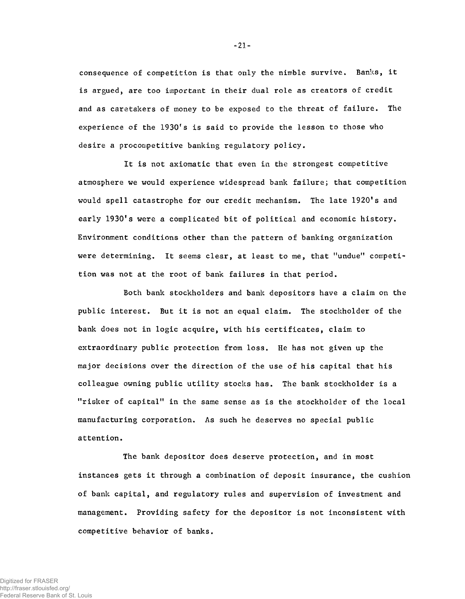consequence of competition is that only the nimble survive. Banks, it is argued, are too important in their dual role as creators of credit and as caretakers of money to be exposed to the threat of failure. The experience of the 1930's is said to provide the lesson to those who desire a procompetitive banking regulatory policy.

It is not axiomatic that even in the strongest competitive atmosphere we would experience widespread bank failure; that competition would spell catastrophe for our credit mechanism. The late 1920's and early 1930's were a complicated bit of political and economic history. Environment conditions other than the pattern of banking organization were determining. It seems clear, at least to me, that "undue" competition was not at the root of bank failures in that period.

Both bank stockholders and bank depositors have a claim on the public interest. But it is not an equal claim. The stockholder of the bank does not in logic acquire, with his certificates, claim to extraordinary public protection from loss. He has not given up the major decisions over the direction of the use of his capital that his colleague owning public utility stocks has. The bank stockholder is a "risker of capital" in the same sense as is the stockholder of the local manufacturing corporation. As such he deserves no special public attention.

The bank depositor does deserve protection, and in most instances gets it through a combination of deposit insurance, the cushion of bank capital, and regulatory rules and supervision of investment and management. Providing safety for the depositor is not inconsistent with competitive behavior of banks.

-21-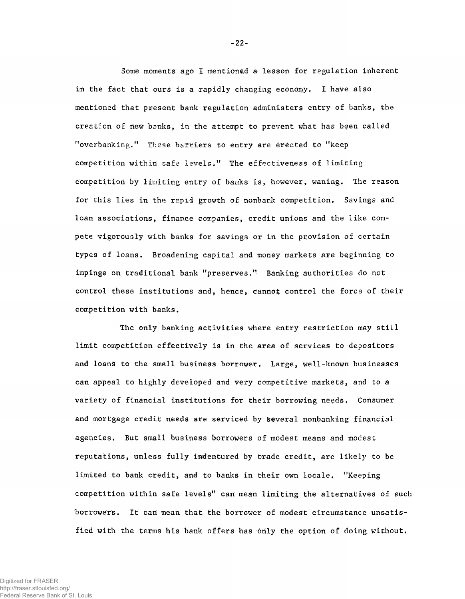Some moments ago I mentioned a lesson for regulation inherent in the fact that ours is a rapidly changing economy. I have also mentioned that present bank regulation administers entry of banks, the creation of new banks, in the attempt to prevent what has been called "overbanking." These barriers to entry are erected to "keep competition withiri safe levels." The effectiveness of limiting competition by limiting entry of banks is, however, waning. The reason for this lies in the rapid growth of nonbank competition. Savings and loan associations, finance companies, credit unions and the like compete vigorously with banks for savings or in the provision of certain types of loans. Broadening capital and money markets are beginning to impinge on traditional bank "preserves." Banking authorities do not control these institutions and, hence, cannot control the force of their competition with banks.

The only banking activities where entry restriction may still limit competition effectively is in the area of services to depositors and loans to the small business borrower. Large, well-known businesses can appeal to highly developed and very competitive markets, and to a variety of financial institutions for their borrowing needs. Consumer and mortgage credit needs are serviced by several nonbanking financial agencies. But small business borrowers of modest means and modest reputations, unless fully indentured by trade credit, are likely to be limited to bank credit, and to banks in their own locale. ''Keeping competition within safe levels" can mean limiting the alternatives of such borrowers. It can mean that the borrower of modest circumstance unsatisfied with the terms his bank offers has only the option of doing without.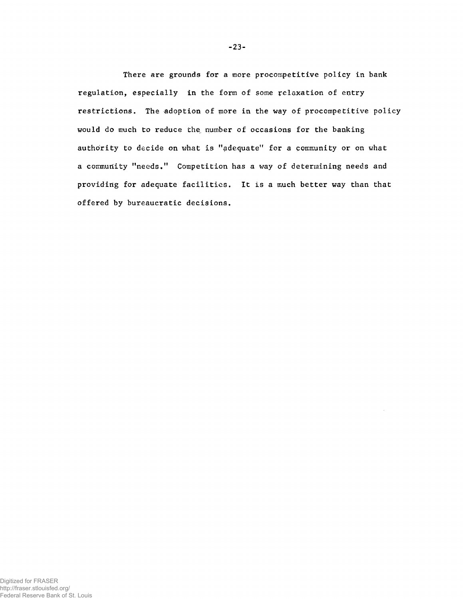There are grounds for a more procompetitive policy in bank regulation, especially in the form of some relaxation of entry restrictions. The adoption of more in the way of procompetitive policy would do much to reduce the number of occasions for the banking authority to decide on what is "adequate" for a community or on what a community "needs." Competition has a way of determining needs and providing for adequate facilities. It is a much better way than that offered by bureaucratic decisions.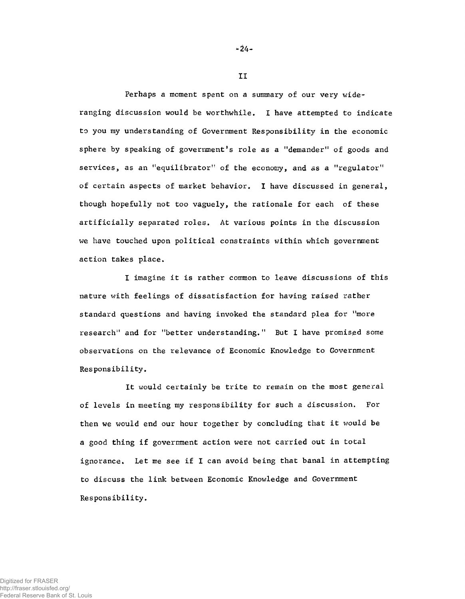Perhaps a moment spent on a summary of our very wideranging discussion would be worthwhile. I have attempted to indicate to you my understanding of Government Responsibility in the economic sphere by speaking of government's role as a "demander" of goods and services, as an "equilibrator" of the economy, and as a "regulator" of certain aspects of market behavior. I have discussed in general, though hopefully not too vaguely, the rationale for each of these artificially separated roles. At various points in the discussion we have touched upon political constraints within which government action takes place.

I imagine it is rather common to leave discussions of this nature with feelings of dissatisfaction for having raised rather standard questions and having invoked the standard plea for "more research" and for ''better understanding." But I have promised some observations on the relevance of Economic Knowledge to Government Responsibility.

It would certainly be trite to remain on the most general of levels in meeting my responsibility for such a discussion. For then we would end our hour together by concluding that it would be a good thing if government action were not carried out in total ignorance. Let me see if I can avoid being that banal in attempting to discuss the link between Economic Knowledge and Government Responsibility.

-24-

II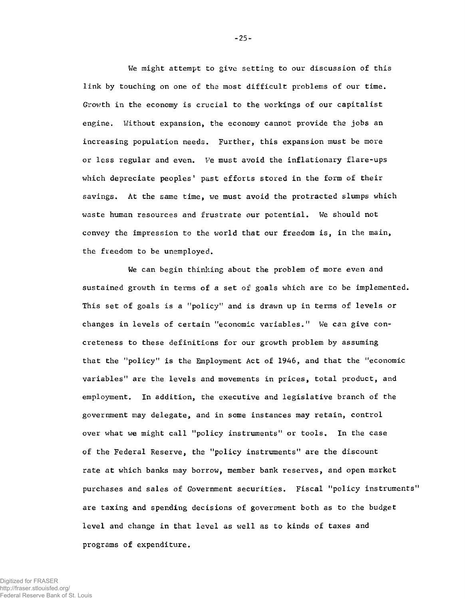We might attempt to give setting to our discussion of this link by touching on one of the most difficult problems of our time. Growth in the economy is crucial to the workings of our capitalist engine. Without expansion, the economy cannot provide the jobs an increasing population needs. Further, this expansion must be more or less regular and even. We must avoid the inflationary flare-ups which depreciate peoples' past efforts stored in the form of their savings. At the same time, we must avoid the protracted slumps which waste human resources and frustrate our potential. We should not convey the impression to the world that our freedom is, in the main, the freedom to be unemployed.

We can begin thinking about the problem of more even and sustained growth in terms of a set of goals which are to be implemented. This set of goals is a "policy" and is drawn up in terms of levels or changes in levels of certain "economic variables." We can give concreteness to these definitions for our growth problem by assuming that the "policy" is the Employment Act of 1946, and that the "economic variables" are the levels and movements in prices, total product, and employment. In addition, the executive and legislative branch of the government may delegate, and in some instances may retain, control over what we might call "policy instruments" or tools. In the case of the Federal Reserve, the "policy instruments" are the discount rate at which banks may borrow, member bank reserves, and open market purchases and sales of Government securities. Fiscal "policy instruments" are taxing and spending decisions of government both as to the budget level and change in that level as well as to kinds of taxes and programs of expenditure.

-25-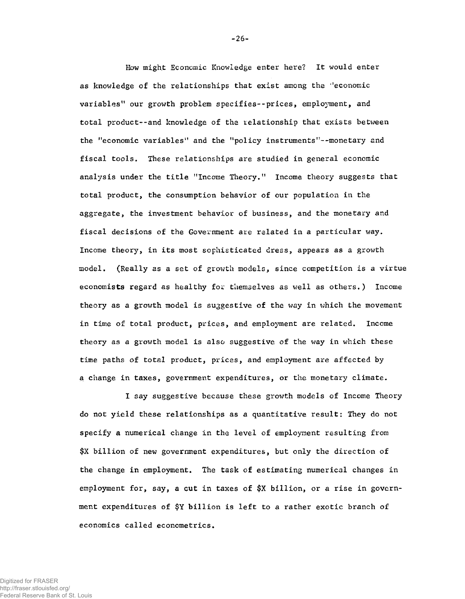How might Economic Knowledge enter here? It would enter as knowledge of the relationships that exist among the ''economic variables" our growth problem specifies--prices, employment, and total product--and knowledge of the relationship that exists between the "economic variables" and the "policy instruments"--monetary and fiscal topis. These relationships are studied in general economic analysis under the title ''Income Theory." Income theory suggests that total product, the consumption behavior of our population in the aggregate, the investment behavior of business, and the monetary and fiscal decisions of the Government are related in a particular way. Income theory, in its most sophisticated dress, appears as a growth model. (Really as a set of growth models, since competition is a virtue economists regard as healthy for themselves as well as others.) Income theory as a growth model is suggestive of the way in which the movement in time of total product, prices, and employment are related. Income theory as a growth model is also suggestive of the way in which these time paths of total product, prices, and employment are affected by a change in taxes, government expenditures, or the monetary climate.

I say suggestive because these growth models of Income Theory do not yield these relationships as a quantitative result: They do not specify a numerical change in the level of employment resulting from \$X billion of new government expenditures, but only the direction of the change in employment. The task of estimating numerical changes in employment for, say, a cut in taxes of \$X billion, or a rise in government expenditures of \$Y billion is left to a rather exotic branch of economics called econometrics.

-26-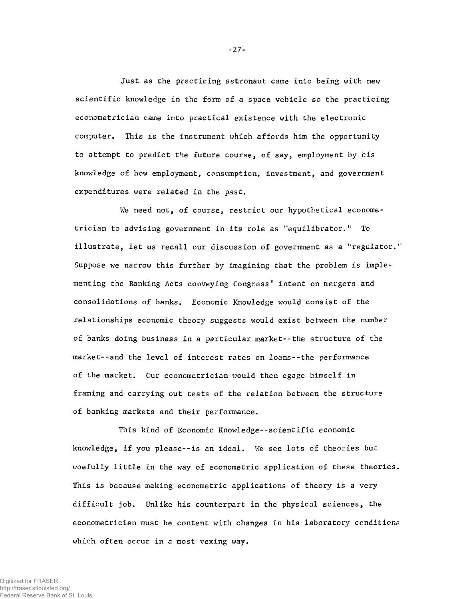Just as the practicing astronaut *came* into being with new scientific knowledge in the form of a space vehicle so the practicing econometrician came into practical existence with the electronic computer. This is the instrument which affords him the opportunity to attempt to predict the future course, of say, employment by *his* knowledge of how employment, consumption, investment, and government expenditures were related in the past.

We need not, of course, restrict our hypothetical econometrician to advising government in its role as "equilibrator." To illustrate, let us recall our discussion of government as a "regulator." Suppose we narrow this further by imagining that the problem is implementing the Banking Acts conveying Congress *1* intent on mergers and consolidations of banks. Economic Knowledge would consist of the relationships economic theory suggests would exist between the number of banks doing business in a particular market--the structure of the market--and the level of interest rates on loans--the performance of the market. Our econometrician would then egage himself in framing and carrying out tests of the relation between the structure of banking markets and their performance.

This kind of Economic Knowledge--scientific economic knowledge, if you please--is an ideal. We see lots of theories but woefully little in the way of econometric application of these theories. This is because making econometric applications of theory is a very difficult job. Unlike his counterpart in the physical sciences, the econometrician must be content with changes in his laboratory conditions which often occur in a most vexing way.

 $-27-$